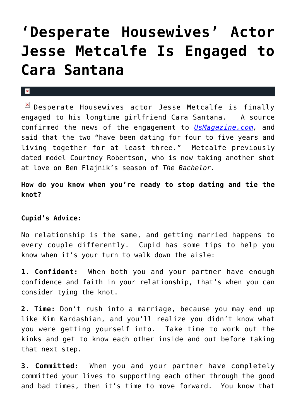## **['Desperate Housewives' Actor](https://cupidspulse.com/25587/desperate-housewives-actor-jesse-metcalfe-is-engaged-to-cara-santana-tying-the-knot/) [Jesse Metcalfe Is Engaged to](https://cupidspulse.com/25587/desperate-housewives-actor-jesse-metcalfe-is-engaged-to-cara-santana-tying-the-knot/) [Cara Santana](https://cupidspulse.com/25587/desperate-housewives-actor-jesse-metcalfe-is-engaged-to-cara-santana-tying-the-knot/)**

## $\pmb{\times}$

 $\boxed{\times}$  Desperate Housewives actor Jesse Metcalfe is finally engaged to his longtime girlfriend Cara Santana. A source confirmed the news of the engagement to *[UsMagazine.com](http://www.usmagazine.com/celebrity-news/news/jesse-metcalfe-is-engaged-to-cara-santana-2012161),* and said that the two "have been dating for four to five years and living together for at least three." Metcalfe previously dated model Courtney Robertson, who is now taking another shot at love on Ben Flajnik's season of *The Bachelor.*

**How do you know when you're ready to stop dating and tie the knot?**

## **Cupid's Advice:**

No relationship is the same, and getting married happens to every couple differently. Cupid has some tips to help you know when it's your turn to walk down the aisle:

**1. Confident:** When both you and your partner have enough confidence and faith in your relationship, that's when you can consider tying the knot.

**2. Time:** Don't rush into a marriage, because you may end up like Kim Kardashian, and you'll realize you didn't know what you were getting yourself into. Take time to work out the kinks and get to know each other inside and out before taking that next step.

**3. Committed:** When you and your partner have completely committed your lives to supporting each other through the good and bad times, then it's time to move forward. You know that